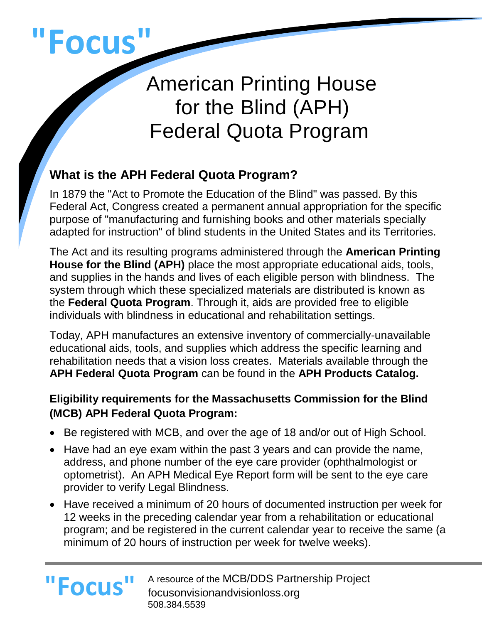

**"Focus"**

# American Printing House for the Blind (APH) Federal Quota Program

## **What is the APH Federal Quota Program?**

In 1879 the "Act to Promote the Education of the Blind" was passed. By this Federal Act, Congress created a permanent annual appropriation for the specific purpose of "manufacturing and furnishing books and other materials specially adapted for instruction" of blind students in the United States and its Territories.

The Act and its resulting programs administered through the **American Printing House for the Blind (APH)** place the most appropriate educational aids, tools, and supplies in the hands and lives of each eligible person with blindness. The system through which these specialized materials are distributed is known as the **Federal Quota Program**. Through it, aids are provided free to eligible individuals with blindness in educational and rehabilitation settings.

Today, APH manufactures an extensive inventory of commercially-unavailable educational aids, tools, and supplies which address the specific learning and rehabilitation needs that a vision loss creates. Materials available through the **APH Federal Quota Program** can be found in the **APH Products Catalog.**

### **Eligibility requirements for the Massachusetts Commission for the Blind (MCB) APH Federal Quota Program:**

- Be registered with MCB, and over the age of 18 and/or out of High School.
- Have had an eye exam within the past 3 years and can provide the name, address, and phone number of the eye care provider (ophthalmologist or optometrist). An APH Medical Eye Report form will be sent to the eye care provider to verify Legal Blindness.
- Have received a minimum of 20 hours of documented instruction per week for 12 weeks in the preceding calendar year from a rehabilitation or educational program; and be registered in the current calendar year to receive the same (a minimum of 20 hours of instruction per week for twelve weeks).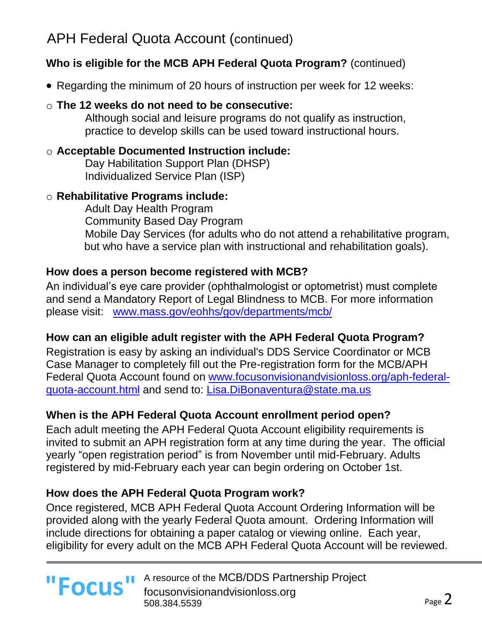# APH Federal Quota Account (continued)

#### **Who is eligible for the MCB APH Federal Quota Program?** (continued)

• Regarding the minimum of 20 hours of instruction per week for 12 weeks:

#### o **The 12 weeks do not need to be consecutive:**

Although social and leisure programs do not qualify as instruction, practice to develop skills can be used toward instructional hours.

#### o **Acceptable Documented Instruction include:**

Day Habilitation Support Plan (DHSP) Individualized Service Plan (ISP)

#### o **Rehabilitative Programs include:**

Adult Day Health Program Community Based Day Program Mobile Day Services (for adults who do not attend a rehabilitative program, but who have a service plan with instructional and rehabilitation goals).

#### **How does a person become registered with MCB?**

An individual's eye care provider (ophthalmologist or optometrist) must complete and send a Mandatory Report of Legal Blindness to MCB. For more information please visit: [www.mass.gov/eohhs/gov/departments/mcb/](file://///dds-fp-wre-101/dibonav$/APH/1%20APH%20ALL%20REGION%202015%202016/New%20Eligilbility%20and%20Order%20Process%208.2016/www.mass.gov/eohhs/gov/departments/mcb/) 

#### **How can an eligible adult register with the APH Federal Quota Program?**

Registration is easy by asking an individual's DDS Service Coordinator or MCB Case Manager to completely fill out the Pre-registration form for the MCB/APH Federal Quota Account found on [www.focusonvisionandvisionloss.org/aph-federal](http://www.focusonvisionandvisionloss.org/aph-federal-quota-account.html)[quota-account.html](http://www.focusonvisionandvisionloss.org/aph-federal-quota-account.html) and send to: [Lisa.DiBonaventura@state.ma.us](file:///C:/Users/robertsonm/AppData/Local/Microsoft/Windows/Temporary%20Internet%20Files/Content.Outlook/ECQXXZLF/Lisa.DiBonaventura@state.ma.us)

#### **When is the APH Federal Quota Account enrollment period open?**

Each adult meeting the APH Federal Quota Account eligibility requirements is invited to submit an APH registration form at any time during the year. The official yearly "open registration period" is from November until mid-February. Adults registered by mid-February each year can begin ordering on October 1st.

#### **How does the APH Federal Quota Program work?**

Once registered, MCB APH Federal Quota Account Ordering Information will be provided along with the yearly Federal Quota amount. Ordering Information will include directions for obtaining a paper catalog or viewing online. Each year, eligibility for every adult on the MCB APH Federal Quota Account will be reviewed.

A resource of the MCB/DDS Partnership Project **"Focus"** A resource of the MCB/DDS Partn 508.384.5539

l